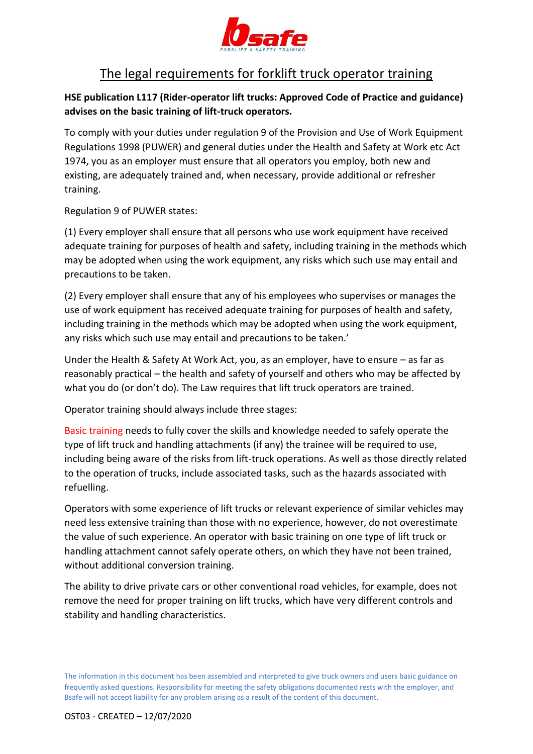

## The legal requirements for forklift truck operator training

**HSE publication L117 (Rider-operator lift trucks: Approved Code of Practice and guidance) advises on the basic training of lift-truck operators.** 

To comply with your duties under regulation 9 of the Provision and Use of Work Equipment Regulations 1998 (PUWER) and general duties under the Health and Safety at Work etc Act 1974, you as an employer must ensure that all operators you employ, both new and existing, are adequately trained and, when necessary, provide additional or refresher training.

Regulation 9 of PUWER states:

(1) Every employer shall ensure that all persons who use work equipment have received adequate training for purposes of health and safety, including training in the methods which may be adopted when using the work equipment, any risks which such use may entail and precautions to be taken.

(2) Every employer shall ensure that any of his employees who supervises or manages the use of work equipment has received adequate training for purposes of health and safety, including training in the methods which may be adopted when using the work equipment, any risks which such use may entail and precautions to be taken.'

Under the Health & Safety At Work Act, you, as an employer, have to ensure – as far as reasonably practical – the health and safety of yourself and others who may be affected by what you do (or don't do). The Law requires that lift truck operators are trained.

Operator training should always include three stages:

Basic training needs to fully cover the skills and knowledge needed to safely operate the type of lift truck and handling attachments (if any) the trainee will be required to use, including being aware of the risks from lift-truck operations. As well as those directly related to the operation of trucks, include associated tasks, such as the hazards associated with refuelling.

Operators with some experience of lift trucks or relevant experience of similar vehicles may need less extensive training than those with no experience, however, do not overestimate the value of such experience. An operator with basic training on one type of lift truck or handling attachment cannot safely operate others, on which they have not been trained, without additional conversion training.

The ability to drive private cars or other conventional road vehicles, for example, does not remove the need for proper training on lift trucks, which have very different controls and stability and handling characteristics.

The information in this document has been assembled and interpreted to give truck owners and users basic guidance on frequently asked questions. Responsibility for meeting the safety obligations documented rests with the employer, and Bsafe will not accept liability for any problem arising as a result of the content of this document.